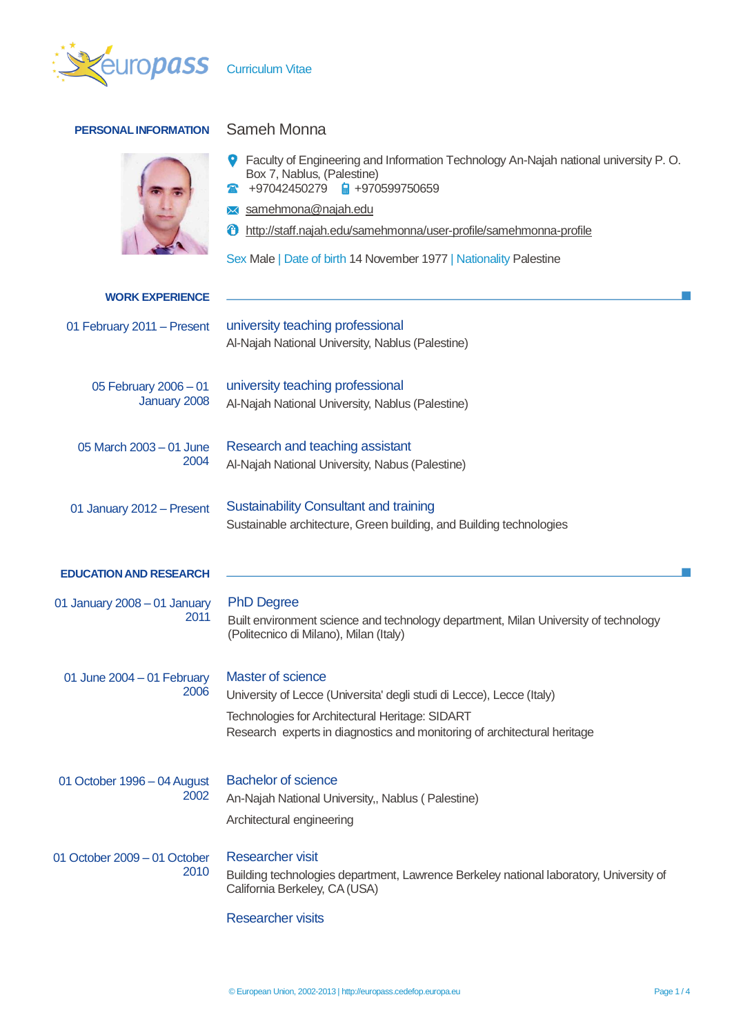

## **PERSONAL INFORMATION** Sameh Monna



| ● Faculty of Engineering and Information Technology An-Najah national university P.O. |
|---------------------------------------------------------------------------------------|
| Box 7, Nablus, (Palestine)                                                            |
|                                                                                       |

- $\bullet$  +97042450279  $\bullet$  +970599750659
- samehmona@najah.edu
- http://staff.najah.edu/samehmonna/user-profile/samehmonna-profile

Sex Male | Date of birth 14 November 1977 | Nationality Palestine

| <b>WORK EXPERIENCE</b>                |                                                                                                                                                                                                                                  |  |  |  |  |
|---------------------------------------|----------------------------------------------------------------------------------------------------------------------------------------------------------------------------------------------------------------------------------|--|--|--|--|
| 01 February 2011 - Present            | university teaching professional<br>Al-Najah National University, Nablus (Palestine)                                                                                                                                             |  |  |  |  |
| 05 February 2006 - 01<br>January 2008 | university teaching professional<br>Al-Najah National University, Nablus (Palestine)                                                                                                                                             |  |  |  |  |
| 05 March 2003 - 01 June<br>2004       | Research and teaching assistant<br>Al-Najah National University, Nabus (Palestine)                                                                                                                                               |  |  |  |  |
| 01 January 2012 - Present             | <b>Sustainability Consultant and training</b><br>Sustainable architecture, Green building, and Building technologies                                                                                                             |  |  |  |  |
| <b>EDUCATION AND RESEARCH</b>         |                                                                                                                                                                                                                                  |  |  |  |  |
| 01 January 2008 - 01 January<br>2011  | <b>PhD Degree</b><br>Built environment science and technology department, Milan University of technology<br>(Politecnico di Milano), Milan (Italy)                                                                               |  |  |  |  |
| 01 June 2004 - 01 February<br>2006    | <b>Master of science</b><br>University of Lecce (Universita' degli studi di Lecce), Lecce (Italy)<br>Technologies for Architectural Heritage: SIDART<br>Research experts in diagnostics and monitoring of architectural heritage |  |  |  |  |
| 01 October 1996 - 04 August<br>2002   | <b>Bachelor of science</b><br>An-Najah National University,, Nablus (Palestine)<br>Architectural engineering                                                                                                                     |  |  |  |  |
| 01 October 2009 - 01 October<br>2010  | <b>Researcher visit</b><br>Building technologies department, Lawrence Berkeley national laboratory, University of<br>California Berkeley, CA (USA)                                                                               |  |  |  |  |
|                                       | <b>Researcher visits</b>                                                                                                                                                                                                         |  |  |  |  |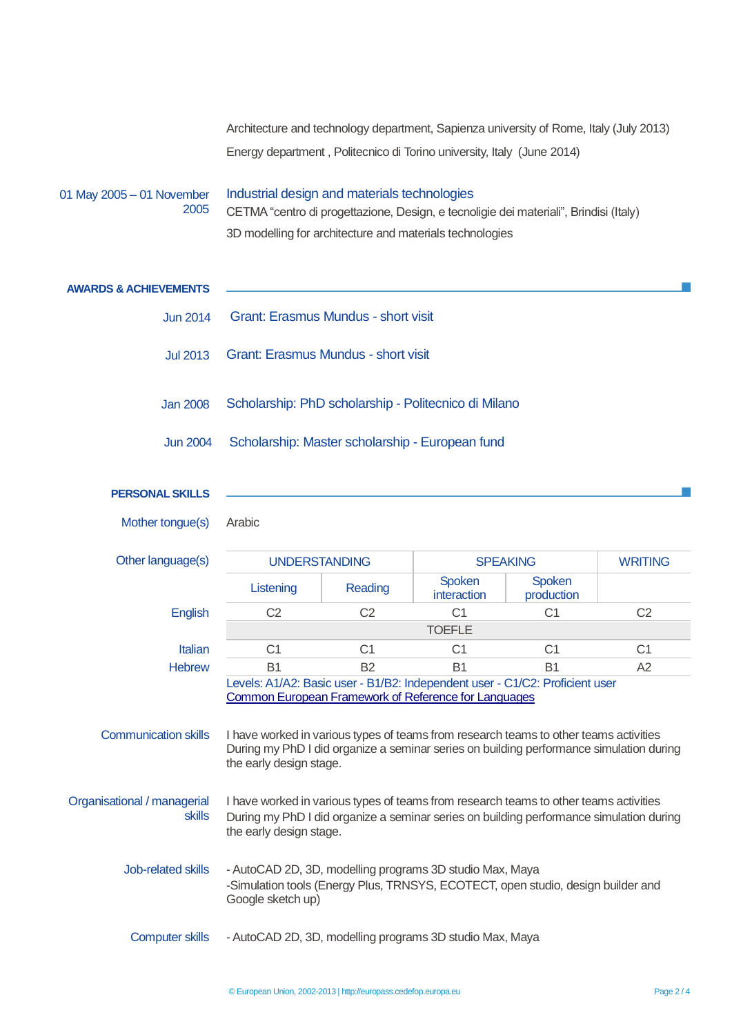Architecture and technology department, Sapienza university of Rome, Italy (July 2013) Energy department , Politecnico di Torino university, Italy (June 2014)

## 01 May 2005 – 01 November 2005 Industrial design and materials technologies CETMA "centro di progettazione, Design, e tecnoligie dei materiali", Brindisi (Italy) 3D modelling for architecture and materials technologies

| <b>AWARDS &amp; ACHIEVEMENTS</b>                                                                                                                                                                                                                            |                                                                                                                                                                                                             |                |                       |                      |                |
|-------------------------------------------------------------------------------------------------------------------------------------------------------------------------------------------------------------------------------------------------------------|-------------------------------------------------------------------------------------------------------------------------------------------------------------------------------------------------------------|----------------|-----------------------|----------------------|----------------|
| <b>Jun 2014</b>                                                                                                                                                                                                                                             | <b>Grant: Erasmus Mundus - short visit</b>                                                                                                                                                                  |                |                       |                      |                |
| <b>Jul 2013</b>                                                                                                                                                                                                                                             | Grant: Erasmus Mundus - short visit                                                                                                                                                                         |                |                       |                      |                |
| <b>Jan 2008</b>                                                                                                                                                                                                                                             | Scholarship: PhD scholarship - Politecnico di Milano                                                                                                                                                        |                |                       |                      |                |
| <b>Jun 2004</b>                                                                                                                                                                                                                                             | Scholarship: Master scholarship - European fund                                                                                                                                                             |                |                       |                      |                |
| <b>PERSONAL SKILLS</b>                                                                                                                                                                                                                                      |                                                                                                                                                                                                             |                |                       |                      |                |
| Mother tongue(s)                                                                                                                                                                                                                                            | Arabic                                                                                                                                                                                                      |                |                       |                      |                |
| Other language(s)                                                                                                                                                                                                                                           | <b>UNDERSTANDING</b>                                                                                                                                                                                        |                | <b>SPEAKING</b>       |                      | <b>WRITING</b> |
|                                                                                                                                                                                                                                                             | Listening                                                                                                                                                                                                   | Reading        | Spoken<br>interaction | Spoken<br>production |                |
| English                                                                                                                                                                                                                                                     | C <sub>2</sub>                                                                                                                                                                                              | C <sub>2</sub> | C <sub>1</sub>        | C <sub>1</sub>       | C <sub>2</sub> |
|                                                                                                                                                                                                                                                             | <b>TOEFLE</b>                                                                                                                                                                                               |                |                       |                      |                |
| Italian                                                                                                                                                                                                                                                     | C <sub>1</sub>                                                                                                                                                                                              | C <sub>1</sub> | C <sub>1</sub>        | C <sub>1</sub>       | C <sub>1</sub> |
| <b>Hebrew</b>                                                                                                                                                                                                                                               | <b>B1</b>                                                                                                                                                                                                   | <b>B2</b>      | <b>B1</b>             | <b>B1</b>            | A2             |
|                                                                                                                                                                                                                                                             | Levels: A1/A2: Basic user - B1/B2: Independent user - C1/C2: Proficient user<br>Common European Framework of Reference for Languages                                                                        |                |                       |                      |                |
| <b>Communication skills</b>                                                                                                                                                                                                                                 | I have worked in various types of teams from research teams to other teams activities<br>During my PhD I did organize a seminar series on building performance simulation during<br>the early design stage. |                |                       |                      |                |
| Organisational / managerial<br>I have worked in various types of teams from research teams to other teams activities<br><b>skills</b><br>During my PhD I did organize a seminar series on building performance simulation during<br>the early design stage. |                                                                                                                                                                                                             |                |                       |                      |                |
| Job-related skills<br>- AutoCAD 2D, 3D, modelling programs 3D studio Max, Maya<br>-Simulation tools (Energy Plus, TRNSYS, ECOTECT, open studio, design builder and<br>Google sketch up)                                                                     |                                                                                                                                                                                                             |                |                       |                      |                |

Computer skills - AutoCAD 2D, 3D, modelling programs 3D studio Max, Maya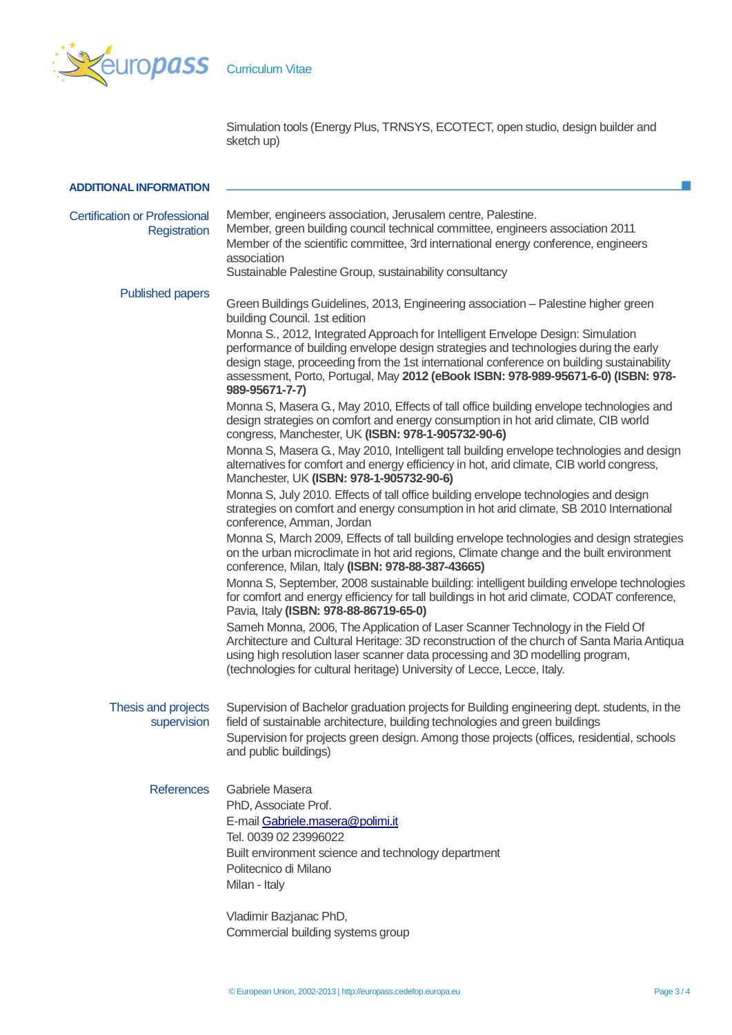

Simulation tools (Energy Plus, TRNSYS, ECOTECT, open studio, design builder and sketch up)

| <b>ADDITIONAL INFORMATION</b>                        |                                                                                                                                                                                                                                                                                                                                                                             |
|------------------------------------------------------|-----------------------------------------------------------------------------------------------------------------------------------------------------------------------------------------------------------------------------------------------------------------------------------------------------------------------------------------------------------------------------|
| <b>Certification or Professional</b><br>Registration | Member, engineers association, Jerusalem centre, Palestine.<br>Member, green building council technical committee, engineers association 2011<br>Member of the scientific committee, 3rd international energy conference, engineers<br>association<br>Sustainable Palestine Group, sustainability consultancy                                                               |
| <b>Published papers</b>                              |                                                                                                                                                                                                                                                                                                                                                                             |
|                                                      | Green Buildings Guidelines, 2013, Engineering association - Palestine higher green<br>building Council. 1st edition                                                                                                                                                                                                                                                         |
|                                                      | Monna S., 2012, Integrated Approach for Intelligent Envelope Design: Simulation<br>performance of building envelope design strategies and technologies during the early<br>design stage, proceeding from the 1st international conference on building sustainability<br>assessment, Porto, Portugal, May 2012 (eBook ISBN: 978-989-95671-6-0) (ISBN: 978-<br>989-95671-7-7) |
|                                                      | Monna S, Masera G, May 2010, Effects of tall office building envelope technologies and<br>design strategies on comfort and energy consumption in hot arid climate, CIB world<br>congress, Manchester, UK (ISBN: 978-1-905732-90-6)                                                                                                                                          |
|                                                      | Monna S, Masera G., May 2010, Intelligent tall building envelope technologies and design<br>alternatives for comfort and energy efficiency in hot, arid climate, CIB world congress,<br>Manchester, UK (ISBN: 978-1-905732-90-6)                                                                                                                                            |
|                                                      | Monna S, July 2010. Effects of tall office building envelope technologies and design<br>strategies on comfort and energy consumption in hot arid climate, SB 2010 International<br>conference, Amman, Jordan                                                                                                                                                                |
|                                                      | Monna S, March 2009, Effects of tall building envelope technologies and design strategies<br>on the urban microclimate in hot arid regions, Climate change and the built environment<br>conference, Milan, Italy (ISBN: 978-88-387-43665)                                                                                                                                   |
|                                                      | Monna S, September, 2008 sustainable building: intelligent building envelope technologies<br>for comfort and energy efficiency for tall buildings in hot arid climate, CODAT conference,<br>Pavia, Italy (ISBN: 978-88-86719-65-0)                                                                                                                                          |
|                                                      | Sameh Monna, 2006, The Application of Laser Scanner Technology in the Field Of<br>Architecture and Cultural Heritage: 3D reconstruction of the church of Santa Maria Antiqua<br>using high resolution laser scanner data processing and 3D modelling program,<br>(technologies for cultural heritage) University of Lecce, Lecce, Italy.                                    |
| Thesis and projects<br>supervision                   | Supervision of Bachelor graduation projects for Building engineering dept. students, in the<br>field of sustainable architecture, building technologies and green buildings<br>Supervision for projects green design. Among those projects (offices, residential, schools<br>and public buildings)                                                                          |
| <b>References</b>                                    | Gabriele Masera                                                                                                                                                                                                                                                                                                                                                             |
|                                                      | PhD, Associate Prof.                                                                                                                                                                                                                                                                                                                                                        |
|                                                      | E-mail Gabriele.masera@polimi.it                                                                                                                                                                                                                                                                                                                                            |
|                                                      | Tel. 0039 02 23996022                                                                                                                                                                                                                                                                                                                                                       |
|                                                      | Built environment science and technology department                                                                                                                                                                                                                                                                                                                         |
|                                                      | Politecnico di Milano<br>Milan - Italy                                                                                                                                                                                                                                                                                                                                      |
|                                                      | Vladimir Bazjanac PhD,                                                                                                                                                                                                                                                                                                                                                      |
|                                                      | Commercial building systems group                                                                                                                                                                                                                                                                                                                                           |